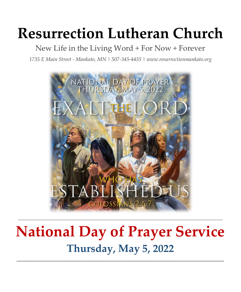# **Resurrection Lutheran Church**

### New Life in the Living Word + For Now + Forever

*1735 E Main Street - Mankato, MN | 507-345-4455 [| www.resurrectionmankato.org](http://www.resurrectionmankato.org/)*



## **National Day of Prayer Service Thursday, May 5, 2022**

*\_\_\_\_\_\_\_\_\_\_\_\_\_\_\_\_\_\_\_\_\_\_\_\_\_\_\_\_\_\_\_\_\_\_\_\_\_\_\_\_\_\_\_\_\_\_\_\_\_\_\_\_\_\_\_\_\_\_\_\_\_\_\_\_\_\_\_\_\_\_\_\_\_\_\_\_\_\_\_*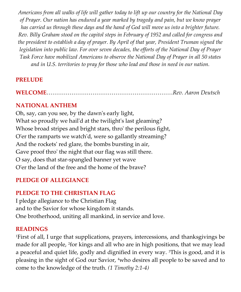*Americans from all walks of life will gather today to lift up our country for the National Day of Prayer. Our nation has endured a year marked by tragedy and pain, but we know prayer has carried us through these days and the hand of God will move us into a brighter future. Rev. Billy Graham stood on the capitol steps in February of 1952 and called for congress and the president to establish a day of prayer. By April of that year, President Truman signed the legislation into public law. For over seven decades, the efforts of the National Day of Prayer Task Force have mobilized Americans to observe the National Day of Prayer in all 50 states and in U.S. territories to pray for those who lead and those in need in our nation.*

#### **PRELUDE**

**WELCOME**…………………………………………………………*Rev. Aaron Deutsch*

#### **NATIONAL ANTHEM**

Oh, say, can you see, by the dawn's early light, What so proudly we hail'd at the twilight's last gleaming? Whose broad stripes and bright stars, thro' the perilous fight, O'er the ramparts we watch'd, were so gallantly streaming? And the rockets' red glare, the bombs bursting in air, Gave proof thro' the night that our flag was still there. O say, does that star-spangled banner yet wave O'er the land of the free and the home of the brave?

#### **PLEDGE OF ALLEGIANCE**

#### **PLEDGE TO THE CHRISTIAN FLAG**

I pledge allegiance to the Christian Flag and to the Savior for whose kingdom it stands. One brotherhood, uniting all mankind, in service and love.

#### **READINGS**

<sup>1</sup>First of all, I urge that supplications, prayers, intercessions, and thanksgivings be made for all people, <sup>2</sup>for kings and all who are in high positions, that we may lead a peaceful and quiet life, godly and dignified in every way. <sup>3</sup>This is good, and it is pleasing in the sight of God our Savior, 4who desires all people to be saved and to come to the knowledge of the truth. *(1 Timothy 2:1-4)*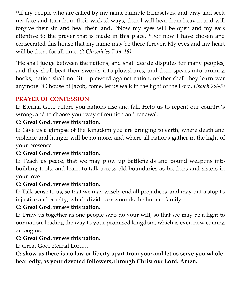<sup>14</sup>If my people who are called by my name humble themselves, and pray and seek my face and turn from their wicked ways, then I will hear from heaven and will forgive their sin and heal their land. 15Now my eyes will be open and my ears attentive to the prayer that is made in this place. 16For now I have chosen and consecrated this house that my name may be there forever. My eyes and my heart will be there for all time. *(2 Chronicles 7:14-16)*

<sup>4</sup>He shall judge between the nations, and shall decide disputes for many peoples; and they shall beat their swords into plowshares, and their spears into pruning hooks; nation shall not lift up sword against nation, neither shall they learn war anymore. 5O house of Jacob, come, let us walk in the light of the Lord. *(Isaiah 2:4-5)*

#### **PRAYER OF CONFESSION**

L: Eternal God, before you nations rise and fall. Help us to repent our country's wrong, and to choose your way of reunion and renewal.

#### **C: Great God, renew this nation.**

L: Give us a glimpse of the Kingdom you are bringing to earth, where death and violence and hunger will be no more, and where all nations gather in the light of your presence.

#### **C: Great God, renew this nation.**

L: Teach us peace, that we may plow up battlefields and pound weapons into building tools, and learn to talk across old boundaries as brothers and sisters in your love.

#### **C: Great God, renew this nation.**

L: Talk sense to us, so that we may wisely end all prejudices, and may put a stop to injustice and cruelty, which divides or wounds the human family.

#### **C: Great God, renew this nation.**

L: Draw us together as one people who do your will, so that we may be a light to our nation, leading the way to your promised kingdom, which is even now coming among us.

#### **C: Great God, renew this nation.**

L: Great God, eternal Lord…

**C: show us there is no law or liberty apart from you; and let us serve you wholeheartedly, as your devoted followers, through Christ our Lord. Amen.**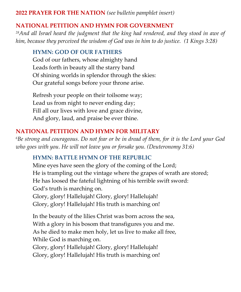#### **2022 PRAYER FOR THE NATION** *(see bulletin pamphlet insert)*

#### **NATIONAL PETITION AND HYMN FOR GOVERNMENT**

*<sup>28</sup>And all Israel heard the judgment that the king had rendered, and they stood in awe of him, because they perceived the wisdom of God was in him to do justice. (1 Kings 3:28)*

#### **HYMN: GOD OF OUR FATHERS**

God of our fathers, whose almighty hand Leads forth in beauty all the starry band Of shining worlds in splendor through the skies: Our grateful songs before your throne arise.

Refresh your people on their toilsome way; Lead us from night to never ending day; Fill all our lives with love and grace divine, And glory, laud, and praise be ever thine.

#### **NATIONAL PETITION AND HYMN FOR MILITARY**

*<sup>6</sup>Be strong and courageous. Do not fear or be in dread of them, for it is the Lord your God who goes with you. He will not leave you or forsake you. (Deuteronomy 31:6)* 

#### **HYMN: BATTLE HYMN OF THE REPUBLIC**

Mine eyes have seen the glory of the coming of the Lord; He is trampling out the vintage where the grapes of wrath are stored; He has loosed the fateful lightning of his terrible swift sword: God's truth is marching on. Glory, glory! Hallelujah! Glory, glory! Hallelujah! Glory, glory! Hallelujah! His truth is marching on!

In the beauty of the lilies Christ was born across the sea, With a glory in his bosom that transfigures you and me. As he died to make men holy, let us live to make all free, While God is marching on.

Glory, glory! Hallelujah! Glory, glory! Hallelujah! Glory, glory! Hallelujah! His truth is marching on!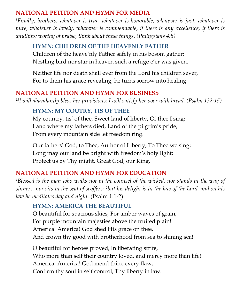#### **NATIONAL PETITION AND HYMN FOR MEDIA**

*<sup>8</sup>Finally, brothers, whatever is true, whatever is honorable, whatever is just, whatever is pure, whatever is lovely, whatever is commendable, if there is any excellence, if there is anything worthy of praise, think about these things. (Philippians 4:8)*

#### **HYMN: CHILDREN OF THE HEAVENLY FATHER**

Children of the heave'nly Father safely in his bosom gather; Nestling bird nor star in heaven such a refuge e'er was given.

Neither life nor death shall ever from the Lord his children sever, For to them his grace revealing, he turns sorrow into healing.

#### **NATIONAL PETITION AND HYMN FOR BUSINESS**

*<sup>15</sup>I will abundantly bless her provisions; I will satisfy her poor with bread. (Psalm 132:15)*

#### **HYMN: MY COUTRY, TIS OF THEE**

My country, tis' of thee, Sweet land of liberty, Of thee I sing: Land where my fathers died, Land of the pilgrim's pride, From every mountain side let freedom ring.

Our fathers' God, to Thee, Author of Liberty, To Thee we sing; Long may our land be bright with freedom's holy light; Protect us by Thy might, Great God, our King.

#### **NATIONAL PETITION AND HYMN FOR EDUCATION**

*<sup>1</sup>Blessed is the man who walks not in the counsel of the wicked, nor stands in the way of sinners, nor sits in the seat of scoffers; 2but his delight is in the law of the Lord, and on his law he meditates day and night.* (Psalm 1:1-2)

#### **HYMN: AMERICA THE BEAUTIFUL**

O beautiful for spacious skies, For amber waves of grain, For purple mountain majesties above the fruited plain! America! America! God shed His grace on thee, And crown thy good with brotherhood from sea to shining sea!

O beautiful for heroes proved, In liberating strife, Who more than self their country loved, and mercy more than life! America! America! God mend thine every flaw, Confirm thy soul in self control, Thy liberty in law.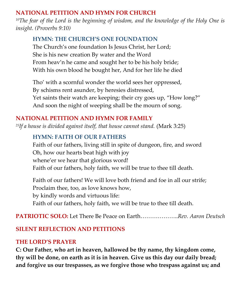#### **NATIONAL PETITION AND HYMN FOR CHURCH**

*<sup>10</sup>The fear of the Lord is the beginning of wisdom, and the knowledge of the Holy One is insight. (Proverbs 9:10)*

#### **HYMN: THE CHURCH'S ONE FOUNDATION**

The Church's one foundation Is Jesus Christ, her Lord; She is his new creation By water and the Word From heav'n he came and sought her to be his holy bride; With his own blood he bought her, And for her life he died

Tho' with a scornful wonder the world sees her oppressed, By schisms rent asunder, by heresies distressed, Yet saints their watch are keeping; their cry goes up, "How long?" And soon the night of weeping shall be the mourn of song.

#### **NATIONAL PETITION AND HYMN FOR FAMILY**

*<sup>25</sup>If a house is divided against itself, that house cannot stand.* (Mark 3:25)

#### **HYMN: FAITH OF OUR FATHERS**

Faith of our fathers, living still in spite of dungeon, fire, and sword Oh, how our hearts beat high with joy whene'er we hear that glorious word! Faith of our fathers, holy faith, we will be true to thee till death.

Faith of our fathers! We will love both friend and foe in all our strife; Proclaim thee, too, as love knows how, by kindly words and virtuous life: Faith of our fathers, holy faith, we will be true to thee till death.

**PATRIOTIC SOLO:** Let There Be Peace on Earth………………..*Rev. Aaron Deutsch*

#### **SILENT REFLECTION AND PETITIONS**

#### **THE LORD'S PRAYER**

**C: Our Father, who art in heaven, hallowed be thy name, thy kingdom come, thy will be done, on earth as it is in heaven. Give us this day our daily bread; and forgive us our trespasses, as we forgive those who trespass against us; and**